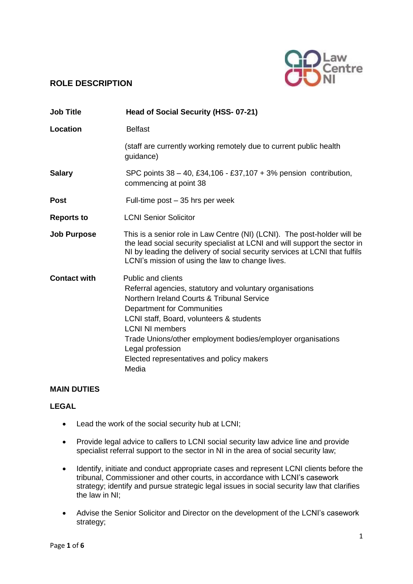# **ROLE DESCRIPTION**



| <b>Job Title</b>    | Head of Social Security (HSS- 07-21)                                                                                                                                                                                                                                                                                                                                             |
|---------------------|----------------------------------------------------------------------------------------------------------------------------------------------------------------------------------------------------------------------------------------------------------------------------------------------------------------------------------------------------------------------------------|
| Location            | <b>Belfast</b>                                                                                                                                                                                                                                                                                                                                                                   |
|                     | (staff are currently working remotely due to current public health<br>guidance)                                                                                                                                                                                                                                                                                                  |
| <b>Salary</b>       | SPC points $38 - 40$ , £34,106 - £37,107 + 3% pension contribution,<br>commencing at point 38                                                                                                                                                                                                                                                                                    |
| <b>Post</b>         | Full-time post – 35 hrs per week                                                                                                                                                                                                                                                                                                                                                 |
| <b>Reports to</b>   | <b>LCNI Senior Solicitor</b>                                                                                                                                                                                                                                                                                                                                                     |
| <b>Job Purpose</b>  | This is a senior role in Law Centre (NI) (LCNI). The post-holder will be<br>the lead social security specialist at LCNI and will support the sector in<br>NI by leading the delivery of social security services at LCNI that fulfils<br>LCNI's mission of using the law to change lives.                                                                                        |
| <b>Contact with</b> | <b>Public and clients</b><br>Referral agencies, statutory and voluntary organisations<br>Northern Ireland Courts & Tribunal Service<br>Department for Communities<br>LCNI staff, Board, volunteers & students<br><b>LCNI NI members</b><br>Trade Unions/other employment bodies/employer organisations<br>Legal profession<br>Elected representatives and policy makers<br>Media |

### **MAIN DUTIES**

# **LEGAL**

- Lead the work of the social security hub at LCNI;
- Provide legal advice to callers to LCNI social security law advice line and provide specialist referral support to the sector in NI in the area of social security law;
- Identify, initiate and conduct appropriate cases and represent LCNI clients before the tribunal, Commissioner and other courts, in accordance with LCNI's casework strategy; identify and pursue strategic legal issues in social security law that clarifies the law in NI;
- Advise the Senior Solicitor and Director on the development of the LCNI's casework strategy;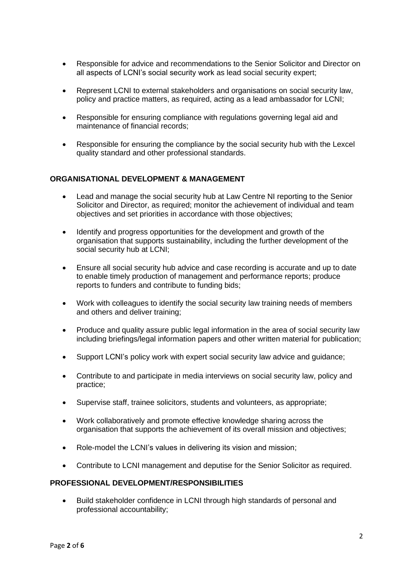- Responsible for advice and recommendations to the Senior Solicitor and Director on all aspects of LCNI's social security work as lead social security expert;
- Represent LCNI to external stakeholders and organisations on social security law, policy and practice matters, as required, acting as a lead ambassador for LCNI;
- Responsible for ensuring compliance with regulations governing legal aid and maintenance of financial records;
- Responsible for ensuring the compliance by the social security hub with the Lexcel quality standard and other professional standards.

#### **ORGANISATIONAL DEVELOPMENT & MANAGEMENT**

- Lead and manage the social security hub at Law Centre NI reporting to the Senior Solicitor and Director, as required; monitor the achievement of individual and team objectives and set priorities in accordance with those objectives;
- Identify and progress opportunities for the development and growth of the organisation that supports sustainability, including the further development of the social security hub at LCNI;
- Ensure all social security hub advice and case recording is accurate and up to date to enable timely production of management and performance reports; produce reports to funders and contribute to funding bids;
- Work with colleagues to identify the social security law training needs of members and others and deliver training;
- Produce and quality assure public legal information in the area of social security law including briefings/legal information papers and other written material for publication;
- Support LCNI's policy work with expert social security law advice and guidance;
- Contribute to and participate in media interviews on social security law, policy and practice;
- Supervise staff, trainee solicitors, students and volunteers, as appropriate;
- Work collaboratively and promote effective knowledge sharing across the organisation that supports the achievement of its overall mission and objectives;
- Role-model the LCNI's values in delivering its vision and mission;
- Contribute to LCNI management and deputise for the Senior Solicitor as required.

#### **PROFESSIONAL DEVELOPMENT/RESPONSIBILITIES**

• Build stakeholder confidence in LCNI through high standards of personal and professional accountability;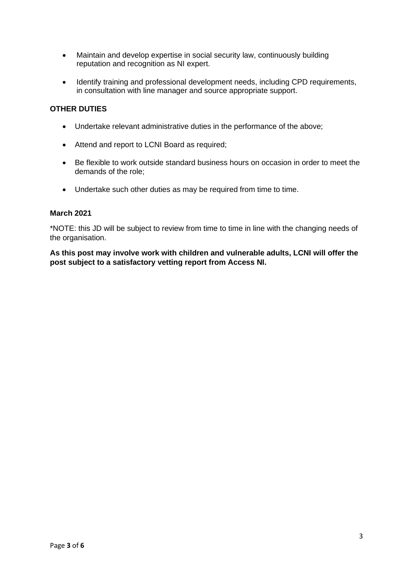- Maintain and develop expertise in social security law, continuously building reputation and recognition as NI expert.
- Identify training and professional development needs, including CPD requirements, in consultation with line manager and source appropriate support.

#### **OTHER DUTIES**

- Undertake relevant administrative duties in the performance of the above;
- Attend and report to LCNI Board as required;
- Be flexible to work outside standard business hours on occasion in order to meet the demands of the role;
- Undertake such other duties as may be required from time to time.

#### **March 2021**

\*NOTE: this JD will be subject to review from time to time in line with the changing needs of the organisation.

**As this post may involve work with children and vulnerable adults, LCNI will offer the post subject to a satisfactory vetting report from Access NI.**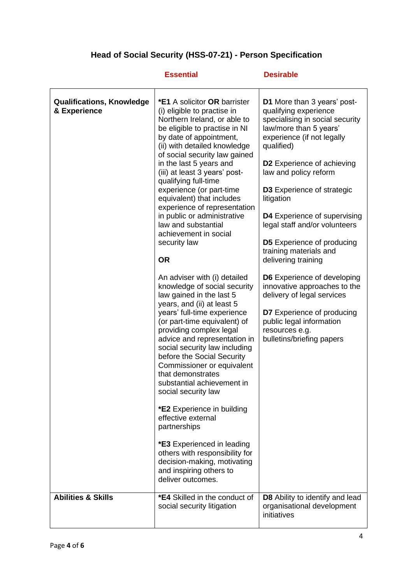# **Head of Social Security (HSS-07-21) - Person Specification**

|                                                  | <b>Essential</b>                                                                                                                                                                                                                                                                                                                                                                                                                                                                                                                                                                                                                                                                  | <b>Desirable</b>                                                                                                                                                                                                                                                                                                                                                                                                                                                                                                                                                                      |
|--------------------------------------------------|-----------------------------------------------------------------------------------------------------------------------------------------------------------------------------------------------------------------------------------------------------------------------------------------------------------------------------------------------------------------------------------------------------------------------------------------------------------------------------------------------------------------------------------------------------------------------------------------------------------------------------------------------------------------------------------|---------------------------------------------------------------------------------------------------------------------------------------------------------------------------------------------------------------------------------------------------------------------------------------------------------------------------------------------------------------------------------------------------------------------------------------------------------------------------------------------------------------------------------------------------------------------------------------|
| <b>Qualifications, Knowledge</b><br>& Experience | <b>*E1</b> A solicitor OR barrister<br>(i) eligible to practise in<br>Northern Ireland, or able to<br>be eligible to practise in NI<br>by date of appointment,<br>(ii) with detailed knowledge<br>of social security law gained<br>in the last 5 years and<br>(iii) at least 3 years' post-<br>qualifying full-time<br>experience (or part-time<br>equivalent) that includes<br>experience of representation<br>in public or administrative<br>law and substantial<br>achievement in social<br>security law<br><b>OR</b><br>An adviser with (i) detailed<br>knowledge of social security<br>law gained in the last 5<br>years, and (ii) at least 5<br>years' full-time experience | <b>D1</b> More than 3 years' post-<br>qualifying experience<br>specialising in social security<br>law/more than 5 years'<br>experience (if not legally<br>qualified)<br><b>D2</b> Experience of achieving<br>law and policy reform<br><b>D3</b> Experience of strategic<br>litigation<br>D4 Experience of supervising<br>legal staff and/or volunteers<br><b>D5</b> Experience of producing<br>training materials and<br>delivering training<br><b>D6</b> Experience of developing<br>innovative approaches to the<br>delivery of legal services<br><b>D7</b> Experience of producing |
|                                                  | (or part-time equivalent) of<br>providing complex legal<br>advice and representation in<br>social security law including<br>before the Social Security<br>Commissioner or equivalent<br>that demonstrates<br>substantial achievement in<br>social security law<br>*E2 Experience in building<br>effective external<br>partnerships<br><b>*E3</b> Experienced in leading<br>others with responsibility for<br>decision-making, motivating<br>and inspiring others to<br>deliver outcomes.                                                                                                                                                                                          | public legal information<br>resources e.g.<br>bulletins/briefing papers                                                                                                                                                                                                                                                                                                                                                                                                                                                                                                               |
| <b>Abilities &amp; Skills</b>                    | *E4 Skilled in the conduct of<br>social security litigation                                                                                                                                                                                                                                                                                                                                                                                                                                                                                                                                                                                                                       | D8 Ability to identify and lead<br>organisational development                                                                                                                                                                                                                                                                                                                                                                                                                                                                                                                         |
|                                                  |                                                                                                                                                                                                                                                                                                                                                                                                                                                                                                                                                                                                                                                                                   | initiatives                                                                                                                                                                                                                                                                                                                                                                                                                                                                                                                                                                           |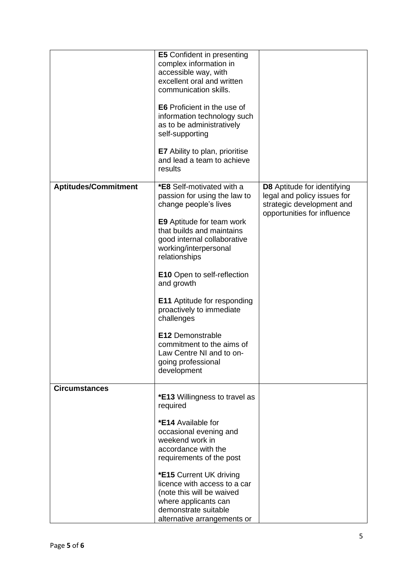|                             | <b>E5</b> Confident in presenting<br>complex information in<br>accessible way, with<br>excellent oral and written<br>communication skills.<br><b>E6</b> Proficient in the use of<br>information technology such<br>as to be administratively<br>self-supporting<br><b>E7</b> Ability to plan, prioritise<br>and lead a team to achieve<br>results                                                                                                                                                |                                                                                                                        |
|-----------------------------|--------------------------------------------------------------------------------------------------------------------------------------------------------------------------------------------------------------------------------------------------------------------------------------------------------------------------------------------------------------------------------------------------------------------------------------------------------------------------------------------------|------------------------------------------------------------------------------------------------------------------------|
| <b>Aptitudes/Commitment</b> | <b>*E8</b> Self-motivated with a<br>passion for using the law to<br>change people's lives<br><b>E9</b> Aptitude for team work<br>that builds and maintains<br>good internal collaborative<br>working/interpersonal<br>relationships<br><b>E10</b> Open to self-reflection<br>and growth<br><b>E11</b> Aptitude for responding<br>proactively to immediate<br>challenges<br><b>E12 Demonstrable</b><br>commitment to the aims of<br>Law Centre NI and to on-<br>going professional<br>development | D8 Aptitude for identifying<br>legal and policy issues for<br>strategic development and<br>opportunities for influence |
| <b>Circumstances</b>        | *E13 Willingness to travel as<br>required<br>*E14 Available for<br>occasional evening and<br>weekend work in<br>accordance with the<br>requirements of the post<br>*E15 Current UK driving<br>licence with access to a car<br>(note this will be waived<br>where applicants can<br>demonstrate suitable<br>alternative arrangements or                                                                                                                                                           |                                                                                                                        |